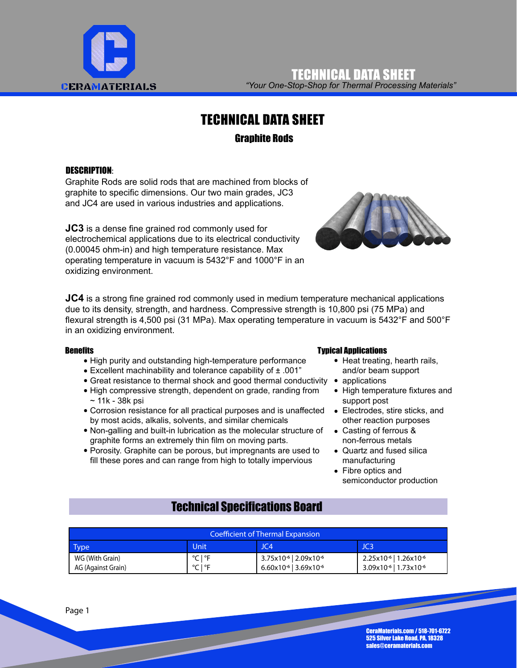

*"Your One-Stop-Shop for Thermal Processing Materials"* TECHNICAL DATA SHEET

## TECHNICAL DATA SHEET

#### Graphite Rods

#### DESCRIPTION:

Graphite Rods are solid rods that are machined from blocks of graphite to specific dimensions. Our two main grades, JC3 and JC4 are used in various industries and applications.

**JC3** is a dense fine grained rod commonly used for electrochemical applications due to its electrical conductivity (0.00045 ohm-in) and high temperature resistance. Max operating temperature in vacuum is 5432°F and 1000°F in an oxidizing environment.

**JC4** is a strong fine grained rod commonly used in medium temperature mechanical applications due to its density, strength, and hardness. Compressive strength is 10,800 psi (75 MPa) and flexural strength is 4,500 psi (31 MPa). Max operating temperature in vacuum is 5432°F and 500°F in an oxidizing environment.

#### **Benefits**

- High purity and outstanding high-temperature performance
- Excellent machinability and tolerance capability of ± .001"
- Great resistance to thermal shock and good thermal conductivity applications
	- High compressive strength, dependent on grade, randing from  $\sim$  11k - 38k psi
	- Corrosion resistance for all practical purposes and is unaffected by most acids, alkalis, solvents, and similar chemicals
	- Non-galling and built-in lubrication as the molecular structure of graphite forms an extremely thin film on moving parts.
	- Porosity. Graphite can be porous, but impregnants are used to fill these pores and can range from high to totally impervious

#### Typical Applications

- Heat treating, hearth rails, and/or beam support
- 
- High temperature fixtures and support post
- Electrodes, stire sticks, and other reaction purposes
- Casting of ferrous & non-ferrous metals
- Quartz and fused silica manufacturing
- Fibre optics and semiconductor production

### Technical Specifications Board

| <b>Coefficient of Thermal Expansion</b> |                                              |                                                                                |                                                                                              |  |  |
|-----------------------------------------|----------------------------------------------|--------------------------------------------------------------------------------|----------------------------------------------------------------------------------------------|--|--|
| Type:                                   | Unit                                         | JC4                                                                            | JC3                                                                                          |  |  |
| WG (With Grain)<br>AG (Against Grain)   | $^{\circ}$ C   $^{\circ}$ F<br>∣°F<br>$\sim$ | $3.75x10^{-6}$   2.09x10 <sup>-6</sup><br>$6.60x10^{-6}$ 3.69x10 <sup>-6</sup> | 2.25x10 <sup>-6</sup> 1.26x10 <sup>-6</sup><br>3.09x10 <sup>-6</sup>   1.73x10 <sup>-6</sup> |  |  |



Page 1

CeraMaterials.com / 518-701-6722 525 Silver Lake Road, PA, 18328 sales@ceramaterials.com